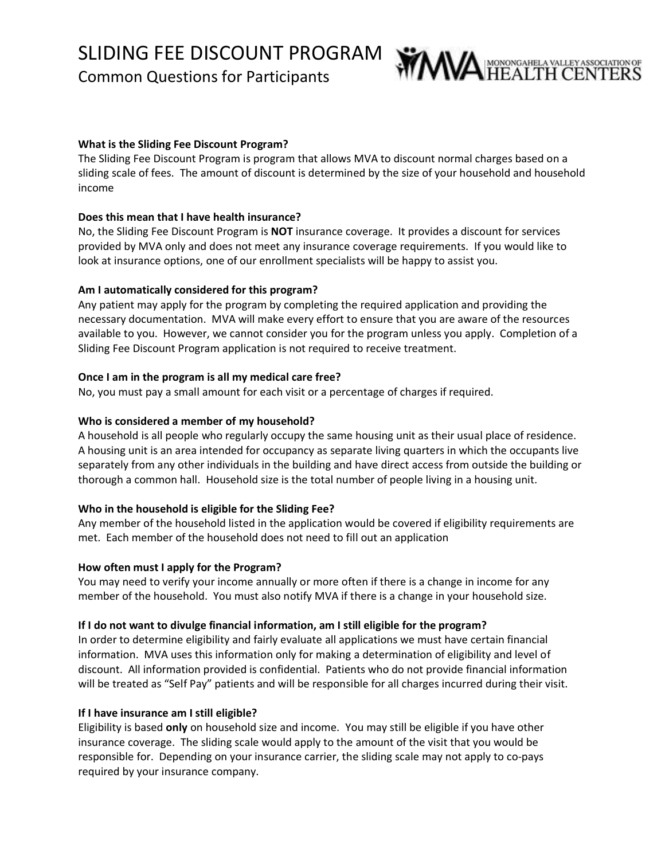# SLIDING FEE DISCOUNT PROGRAM

Common Questions for Participants



## **What is the Sliding Fee Discount Program?**

The Sliding Fee Discount Program is program that allows MVA to discount normal charges based on a sliding scale of fees. The amount of discount is determined by the size of your household and household income

## **Does this mean that I have health insurance?**

No, the Sliding Fee Discount Program is **NOT** insurance coverage. It provides a discount for services provided by MVA only and does not meet any insurance coverage requirements. If you would like to look at insurance options, one of our enrollment specialists will be happy to assist you.

## **Am I automatically considered for this program?**

Any patient may apply for the program by completing the required application and providing the necessary documentation. MVA will make every effort to ensure that you are aware of the resources available to you. However, we cannot consider you for the program unless you apply. Completion of a Sliding Fee Discount Program application is not required to receive treatment.

## **Once I am in the program is all my medical care free?**

No, you must pay a small amount for each visit or a percentage of charges if required.

## **Who is considered a member of my household?**

A household is all people who regularly occupy the same housing unit as their usual place of residence. A housing unit is an area intended for occupancy as separate living quarters in which the occupants live separately from any other individuals in the building and have direct access from outside the building or thorough a common hall. Household size is the total number of people living in a housing unit.

## **Who in the household is eligible for the Sliding Fee?**

Any member of the household listed in the application would be covered if eligibility requirements are met. Each member of the household does not need to fill out an application

## **How often must I apply for the Program?**

You may need to verify your income annually or more often if there is a change in income for any member of the household. You must also notify MVA if there is a change in your household size.

## **If I do not want to divulge financial information, am I still eligible for the program?**

In order to determine eligibility and fairly evaluate all applications we must have certain financial information. MVA uses this information only for making a determination of eligibility and level of discount. All information provided is confidential. Patients who do not provide financial information will be treated as "Self Pay" patients and will be responsible for all charges incurred during their visit.

## **If I have insurance am I still eligible?**

Eligibility is based **only** on household size and income. You may still be eligible if you have other insurance coverage. The sliding scale would apply to the amount of the visit that you would be responsible for. Depending on your insurance carrier, the sliding scale may not apply to co-pays required by your insurance company.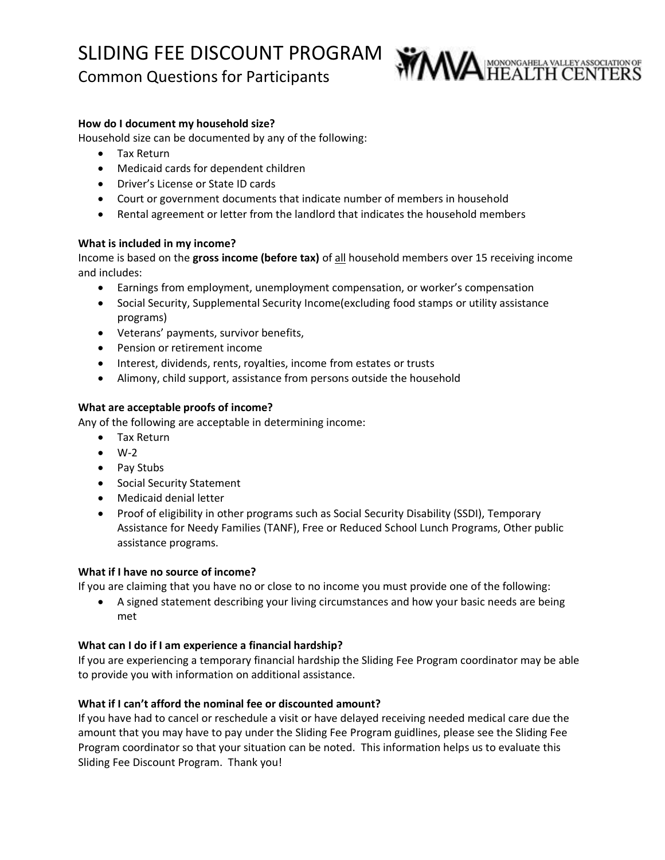## SLIDING FEE DISCOUNT PROGRAM

Common Questions for Participants



## **How do I document my household size?**

Household size can be documented by any of the following:

- Tax Return
- Medicaid cards for dependent children
- Driver's License or State ID cards
- Court or government documents that indicate number of members in household
- Rental agreement or letter from the landlord that indicates the household members

## **What is included in my income?**

Income is based on the **gross income (before tax)** of all household members over 15 receiving income and includes:

- Earnings from employment, unemployment compensation, or worker's compensation
- Social Security, Supplemental Security Income(excluding food stamps or utility assistance programs)
- Veterans' payments, survivor benefits,
- Pension or retirement income
- Interest, dividends, rents, royalties, income from estates or trusts
- Alimony, child support, assistance from persons outside the household

## **What are acceptable proofs of income?**

Any of the following are acceptable in determining income:

- Tax Return
- $\bullet$  W-2
- Pay Stubs
- Social Security Statement
- Medicaid denial letter
- Proof of eligibility in other programs such as Social Security Disability (SSDI), Temporary Assistance for Needy Families (TANF), Free or Reduced School Lunch Programs, Other public assistance programs.

## **What if I have no source of income?**

If you are claiming that you have no or close to no income you must provide one of the following:

• A signed statement describing your living circumstances and how your basic needs are being met

## **What can I do if I am experience a financial hardship?**

If you are experiencing a temporary financial hardship the Sliding Fee Program coordinator may be able to provide you with information on additional assistance.

## **What if I can't afford the nominal fee or discounted amount?**

If you have had to cancel or reschedule a visit or have delayed receiving needed medical care due the amount that you may have to pay under the Sliding Fee Program guidlines, please see the Sliding Fee Program coordinator so that your situation can be noted. This information helps us to evaluate this Sliding Fee Discount Program. Thank you!